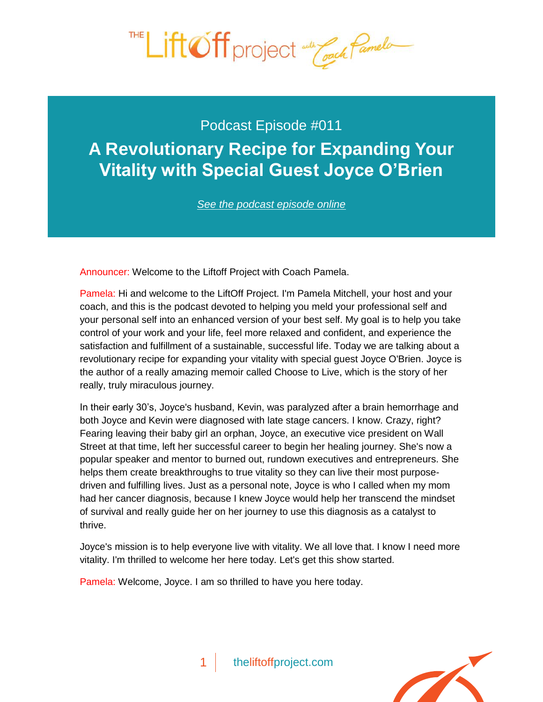

Podcast Episode #011 **A Revolutionary Recipe for Expanding Your [Vitality with Special Guest Joyce O'Brien](http://theliftoffproject.com/revolutionary-recipe-expanding-vitality-special-guest-joyce-obrien/)**

*See the podcast episode online*

Announcer: Welcome to the Liftoff Project with Coach Pamela.

Pamela: Hi and welcome to the LiftOff Project. I'm Pamela Mitchell, your host and your coach, and this is the podcast devoted to helping you meld your professional self and your personal self into an enhanced version of your best self. My goal is to help you take control of your work and your life, feel more relaxed and confident, and experience the satisfaction and fulfillment of a sustainable, successful life. Today we are talking about a revolutionary recipe for expanding your vitality with special guest Joyce O'Brien. Joyce is the author of a really amazing memoir called Choose to Live, which is the story of her really, truly miraculous journey.

In their early 30's, Joyce's husband, Kevin, was paralyzed after a brain hemorrhage and both Joyce and Kevin were diagnosed with late stage cancers. I know. Crazy, right? Fearing leaving their baby girl an orphan, Joyce, an executive vice president on Wall Street at that time, left her successful career to begin her healing journey. She's now a popular speaker and mentor to burned out, rundown executives and entrepreneurs. She helps them create breakthroughs to true vitality so they can live their most purposedriven and fulfilling lives. Just as a personal note, Joyce is who I called when my mom had her cancer diagnosis, because I knew Joyce would help her transcend the mindset of survival and really guide her on her journey to use this diagnosis as a catalyst to thrive.

Joyce's mission is to help everyone live with vitality. We all love that. I know I need more vitality. I'm thrilled to welcome her here today. Let's get this show started.

Pamela: Welcome, Joyce. I am so thrilled to have you here today.

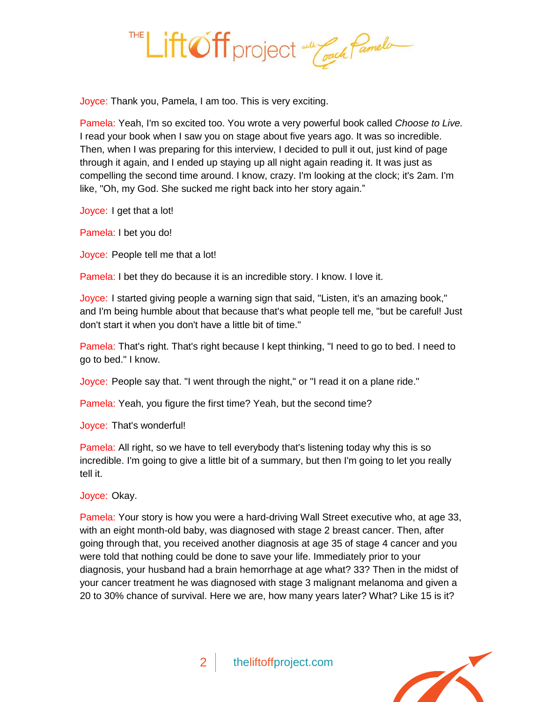

Joyce: Thank you, Pamela, I am too. This is very exciting.

Pamela: Yeah, I'm so excited too. You wrote a very powerful book called *Choose to Live.* I read your book when I saw you on stage about five years ago. It was so incredible. Then, when I was preparing for this interview, I decided to pull it out, just kind of page through it again, and I ended up staying up all night again reading it. It was just as compelling the second time around. I know, crazy. I'm looking at the clock; it's 2am. I'm like, "Oh, my God. She sucked me right back into her story again."

Joyce: I get that a lot!

Pamela: I bet you do!

Joyce: People tell me that a lot!

Pamela: I bet they do because it is an incredible story. I know. I love it.

Joyce: I started giving people a warning sign that said, "Listen, it's an amazing book," and I'm being humble about that because that's what people tell me, "but be careful! Just don't start it when you don't have a little bit of time."

Pamela: That's right. That's right because I kept thinking, "I need to go to bed. I need to go to bed." I know.

Joyce: People say that. "I went through the night," or "I read it on a plane ride."

Pamela: Yeah, you figure the first time? Yeah, but the second time?

Joyce: That's wonderful!

Pamela: All right, so we have to tell everybody that's listening today why this is so incredible. I'm going to give a little bit of a summary, but then I'm going to let you really tell it.

Joyce: Okay.

Pamela: Your story is how you were a hard-driving Wall Street executive who, at age 33, with an eight month-old baby, was diagnosed with stage 2 breast cancer. Then, after going through that, you received another diagnosis at age 35 of stage 4 cancer and you were told that nothing could be done to save your life. Immediately prior to your diagnosis, your husband had a brain hemorrhage at age what? 33? Then in the midst of your cancer treatment he was diagnosed with stage 3 malignant melanoma and given a 20 to 30% chance of survival. Here we are, how many years later? What? Like 15 is it?

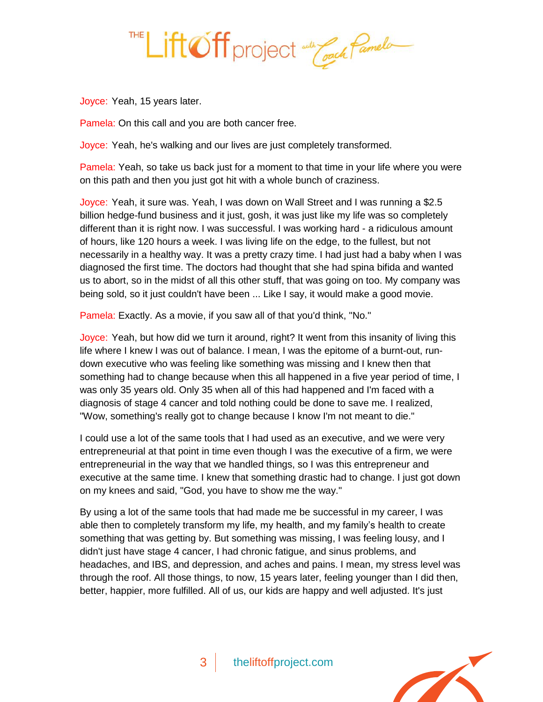

Joyce: Yeah, 15 years later.

Pamela: On this call and you are both cancer free.

Joyce: Yeah, he's walking and our lives are just completely transformed.

Pamela: Yeah, so take us back just for a moment to that time in your life where you were on this path and then you just got hit with a whole bunch of craziness.

Joyce: Yeah, it sure was. Yeah, I was down on Wall Street and I was running a \$2.5 billion hedge-fund business and it just, gosh, it was just like my life was so completely different than it is right now. I was successful. I was working hard - a ridiculous amount of hours, like 120 hours a week. I was living life on the edge, to the fullest, but not necessarily in a healthy way. It was a pretty crazy time. I had just had a baby when I was diagnosed the first time. The doctors had thought that she had spina bifida and wanted us to abort, so in the midst of all this other stuff, that was going on too. My company was being sold, so it just couldn't have been ... Like I say, it would make a good movie.

Pamela: Exactly. As a movie, if you saw all of that you'd think, "No."

Joyce: Yeah, but how did we turn it around, right? It went from this insanity of living this life where I knew I was out of balance. I mean, I was the epitome of a burnt-out, rundown executive who was feeling like something was missing and I knew then that something had to change because when this all happened in a five year period of time, I was only 35 years old. Only 35 when all of this had happened and I'm faced with a diagnosis of stage 4 cancer and told nothing could be done to save me. I realized, "Wow, something's really got to change because I know I'm not meant to die."

I could use a lot of the same tools that I had used as an executive, and we were very entrepreneurial at that point in time even though I was the executive of a firm, we were entrepreneurial in the way that we handled things, so I was this entrepreneur and executive at the same time. I knew that something drastic had to change. I just got down on my knees and said, "God, you have to show me the way."

By using a lot of the same tools that had made me be successful in my career, I was able then to completely transform my life, my health, and my family's health to create something that was getting by. But something was missing, I was feeling lousy, and I didn't just have stage 4 cancer, I had chronic fatigue, and sinus problems, and headaches, and IBS, and depression, and aches and pains. I mean, my stress level was through the roof. All those things, to now, 15 years later, feeling younger than I did then, better, happier, more fulfilled. All of us, our kids are happy and well adjusted. It's just

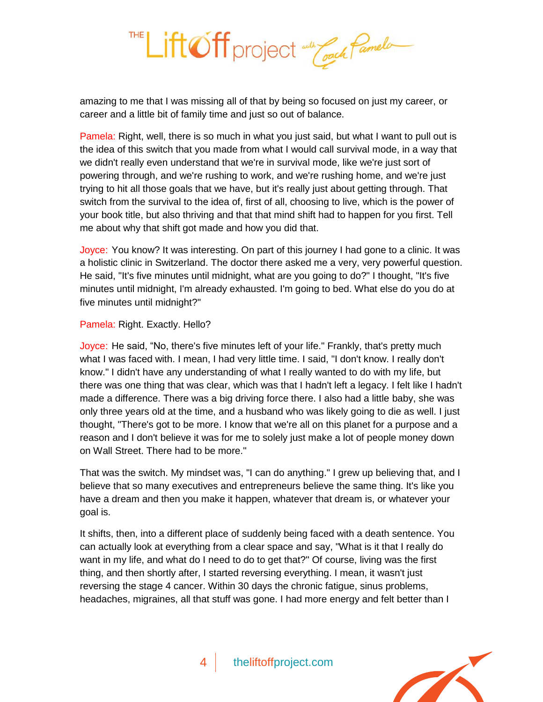

amazing to me that I was missing all of that by being so focused on just my career, or career and a little bit of family time and just so out of balance.

Pamela: Right, well, there is so much in what you just said, but what I want to pull out is the idea of this switch that you made from what I would call survival mode, in a way that we didn't really even understand that we're in survival mode, like we're just sort of powering through, and we're rushing to work, and we're rushing home, and we're just trying to hit all those goals that we have, but it's really just about getting through. That switch from the survival to the idea of, first of all, choosing to live, which is the power of your book title, but also thriving and that that mind shift had to happen for you first. Tell me about why that shift got made and how you did that.

Joyce: You know? It was interesting. On part of this journey I had gone to a clinic. It was a holistic clinic in Switzerland. The doctor there asked me a very, very powerful question. He said, "It's five minutes until midnight, what are you going to do?" I thought, "It's five minutes until midnight, I'm already exhausted. I'm going to bed. What else do you do at five minutes until midnight?"

## Pamela: Right. Exactly. Hello?

Joyce: He said, "No, there's five minutes left of your life." Frankly, that's pretty much what I was faced with. I mean, I had very little time. I said, "I don't know. I really don't know." I didn't have any understanding of what I really wanted to do with my life, but there was one thing that was clear, which was that I hadn't left a legacy. I felt like I hadn't made a difference. There was a big driving force there. I also had a little baby, she was only three years old at the time, and a husband who was likely going to die as well. I just thought, "There's got to be more. I know that we're all on this planet for a purpose and a reason and I don't believe it was for me to solely just make a lot of people money down on Wall Street. There had to be more."

That was the switch. My mindset was, "I can do anything." I grew up believing that, and I believe that so many executives and entrepreneurs believe the same thing. It's like you have a dream and then you make it happen, whatever that dream is, or whatever your goal is.

It shifts, then, into a different place of suddenly being faced with a death sentence. You can actually look at everything from a clear space and say, "What is it that I really do want in my life, and what do I need to do to get that?" Of course, living was the first thing, and then shortly after, I started reversing everything. I mean, it wasn't just reversing the stage 4 cancer. Within 30 days the chronic fatigue, sinus problems, headaches, migraines, all that stuff was gone. I had more energy and felt better than I

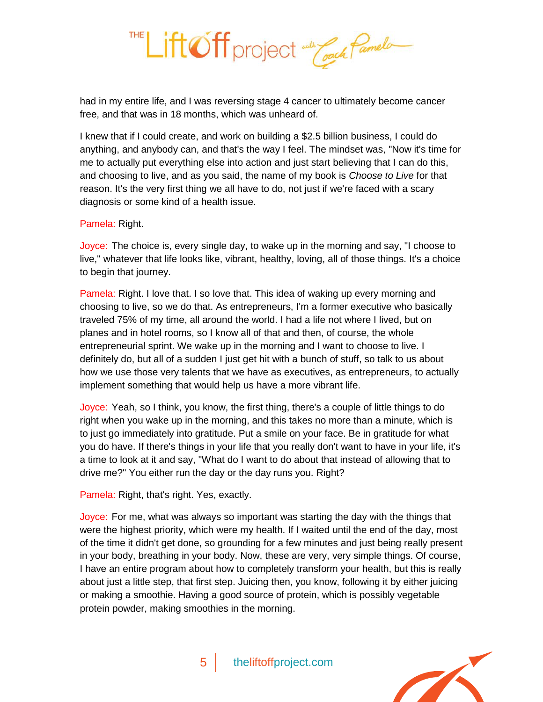

had in my entire life, and I was reversing stage 4 cancer to ultimately become cancer free, and that was in 18 months, which was unheard of.

I knew that if I could create, and work on building a \$2.5 billion business, I could do anything, and anybody can, and that's the way I feel. The mindset was, "Now it's time for me to actually put everything else into action and just start believing that I can do this, and choosing to live, and as you said, the name of my book is *Choose to Live* for that reason. It's the very first thing we all have to do, not just if we're faced with a scary diagnosis or some kind of a health issue.

## Pamela: Right.

Joyce: The choice is, every single day, to wake up in the morning and say, "I choose to live," whatever that life looks like, vibrant, healthy, loving, all of those things. It's a choice to begin that journey.

Pamela: Right. I love that. I so love that. This idea of waking up every morning and choosing to live, so we do that. As entrepreneurs, I'm a former executive who basically traveled 75% of my time, all around the world. I had a life not where I lived, but on planes and in hotel rooms, so I know all of that and then, of course, the whole entrepreneurial sprint. We wake up in the morning and I want to choose to live. I definitely do, but all of a sudden I just get hit with a bunch of stuff, so talk to us about how we use those very talents that we have as executives, as entrepreneurs, to actually implement something that would help us have a more vibrant life.

Joyce: Yeah, so I think, you know, the first thing, there's a couple of little things to do right when you wake up in the morning, and this takes no more than a minute, which is to just go immediately into gratitude. Put a smile on your face. Be in gratitude for what you do have. If there's things in your life that you really don't want to have in your life, it's a time to look at it and say, "What do I want to do about that instead of allowing that to drive me?" You either run the day or the day runs you. Right?

Pamela: Right, that's right. Yes, exactly.

Joyce: For me, what was always so important was starting the day with the things that were the highest priority, which were my health. If I waited until the end of the day, most of the time it didn't get done, so grounding for a few minutes and just being really present in your body, breathing in your body. Now, these are very, very simple things. Of course, I have an entire program about how to completely transform your health, but this is really about just a little step, that first step. Juicing then, you know, following it by either juicing or making a smoothie. Having a good source of protein, which is possibly vegetable protein powder, making smoothies in the morning.

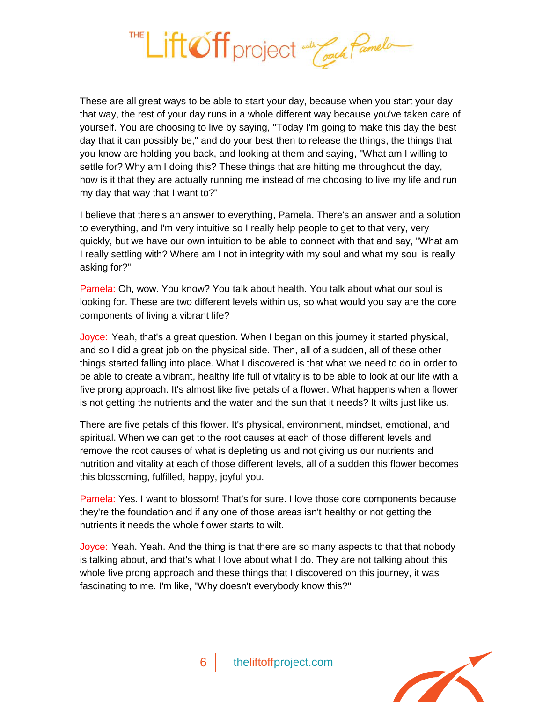Lift Off project and Coach Pamelo

These are all great ways to be able to start your day, because when you start your day that way, the rest of your day runs in a whole different way because you've taken care of yourself. You are choosing to live by saying, "Today I'm going to make this day the best day that it can possibly be," and do your best then to release the things, the things that you know are holding you back, and looking at them and saying, "What am I willing to settle for? Why am I doing this? These things that are hitting me throughout the day, how is it that they are actually running me instead of me choosing to live my life and run my day that way that I want to?"

I believe that there's an answer to everything, Pamela. There's an answer and a solution to everything, and I'm very intuitive so I really help people to get to that very, very quickly, but we have our own intuition to be able to connect with that and say, "What am I really settling with? Where am I not in integrity with my soul and what my soul is really asking for?"

Pamela: Oh, wow. You know? You talk about health. You talk about what our soul is looking for. These are two different levels within us, so what would you say are the core components of living a vibrant life?

Joyce: Yeah, that's a great question. When I began on this journey it started physical, and so I did a great job on the physical side. Then, all of a sudden, all of these other things started falling into place. What I discovered is that what we need to do in order to be able to create a vibrant, healthy life full of vitality is to be able to look at our life with a five prong approach. It's almost like five petals of a flower. What happens when a flower is not getting the nutrients and the water and the sun that it needs? It wilts just like us.

There are five petals of this flower. It's physical, environment, mindset, emotional, and spiritual. When we can get to the root causes at each of those different levels and remove the root causes of what is depleting us and not giving us our nutrients and nutrition and vitality at each of those different levels, all of a sudden this flower becomes this blossoming, fulfilled, happy, joyful you.

Pamela: Yes. I want to blossom! That's for sure. I love those core components because they're the foundation and if any one of those areas isn't healthy or not getting the nutrients it needs the whole flower starts to wilt.

Joyce: Yeah. Yeah. And the thing is that there are so many aspects to that that nobody is talking about, and that's what I love about what I do. They are not talking about this whole five prong approach and these things that I discovered on this journey, it was fascinating to me. I'm like, "Why doesn't everybody know this?"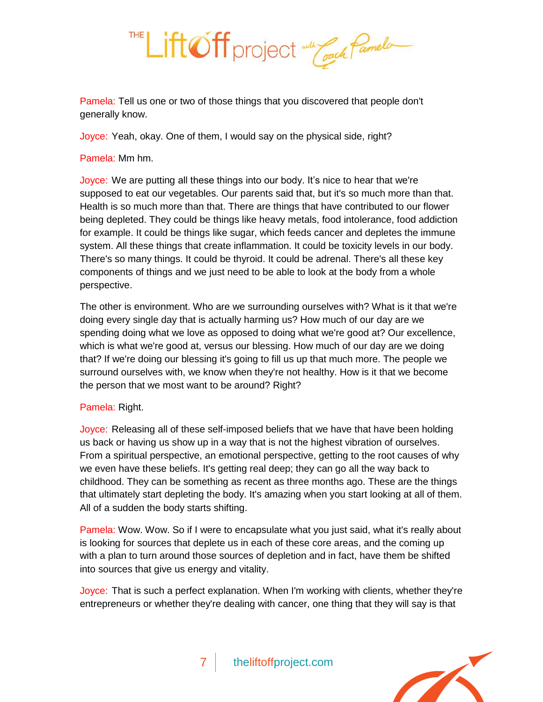

Pamela: Tell us one or two of those things that you discovered that people don't generally know.

Joyce: Yeah, okay. One of them, I would say on the physical side, right?

Pamela: Mm hm.

Joyce: We are putting all these things into our body. It's nice to hear that we're supposed to eat our vegetables. Our parents said that, but it's so much more than that. Health is so much more than that. There are things that have contributed to our flower being depleted. They could be things like heavy metals, food intolerance, food addiction for example. It could be things like sugar, which feeds cancer and depletes the immune system. All these things that create inflammation. It could be toxicity levels in our body. There's so many things. It could be thyroid. It could be adrenal. There's all these key components of things and we just need to be able to look at the body from a whole perspective.

The other is environment. Who are we surrounding ourselves with? What is it that we're doing every single day that is actually harming us? How much of our day are we spending doing what we love as opposed to doing what we're good at? Our excellence, which is what we're good at, versus our blessing. How much of our day are we doing that? If we're doing our blessing it's going to fill us up that much more. The people we surround ourselves with, we know when they're not healthy. How is it that we become the person that we most want to be around? Right?

## Pamela: Right.

Joyce: Releasing all of these self-imposed beliefs that we have that have been holding us back or having us show up in a way that is not the highest vibration of ourselves. From a spiritual perspective, an emotional perspective, getting to the root causes of why we even have these beliefs. It's getting real deep; they can go all the way back to childhood. They can be something as recent as three months ago. These are the things that ultimately start depleting the body. It's amazing when you start looking at all of them. All of a sudden the body starts shifting.

Pamela: Wow. Wow. So if I were to encapsulate what you just said, what it's really about is looking for sources that deplete us in each of these core areas, and the coming up with a plan to turn around those sources of depletion and in fact, have them be shifted into sources that give us energy and vitality.

Joyce: That is such a perfect explanation. When I'm working with clients, whether they're entrepreneurs or whether they're dealing with cancer, one thing that they will say is that

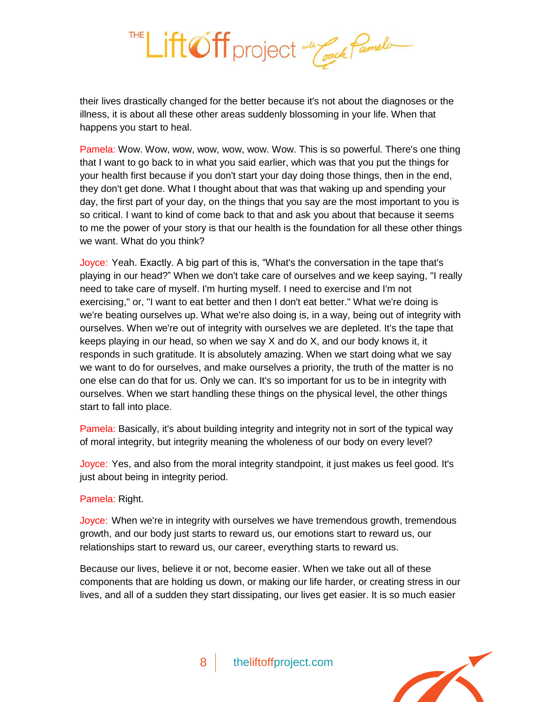

their lives drastically changed for the better because it's not about the diagnoses or the illness, it is about all these other areas suddenly blossoming in your life. When that happens you start to heal.

Pamela: Wow. Wow, wow, wow, wow, wow. Wow. This is so powerful. There's one thing that I want to go back to in what you said earlier, which was that you put the things for your health first because if you don't start your day doing those things, then in the end, they don't get done. What I thought about that was that waking up and spending your day, the first part of your day, on the things that you say are the most important to you is so critical. I want to kind of come back to that and ask you about that because it seems to me the power of your story is that our health is the foundation for all these other things we want. What do you think?

Joyce: Yeah. Exactly. A big part of this is, "What's the conversation in the tape that's playing in our head?" When we don't take care of ourselves and we keep saying, "I really need to take care of myself. I'm hurting myself. I need to exercise and I'm not exercising," or, "I want to eat better and then I don't eat better." What we're doing is we're beating ourselves up. What we're also doing is, in a way, being out of integrity with ourselves. When we're out of integrity with ourselves we are depleted. It's the tape that keeps playing in our head, so when we say X and do X, and our body knows it, it responds in such gratitude. It is absolutely amazing. When we start doing what we say we want to do for ourselves, and make ourselves a priority, the truth of the matter is no one else can do that for us. Only we can. It's so important for us to be in integrity with ourselves. When we start handling these things on the physical level, the other things start to fall into place.

Pamela: Basically, it's about building integrity and integrity not in sort of the typical way of moral integrity, but integrity meaning the wholeness of our body on every level?

Joyce: Yes, and also from the moral integrity standpoint, it just makes us feel good. It's just about being in integrity period.

Pamela: Right.

Joyce: When we're in integrity with ourselves we have tremendous growth, tremendous growth, and our body just starts to reward us, our emotions start to reward us, our relationships start to reward us, our career, everything starts to reward us.

Because our lives, believe it or not, become easier. When we take out all of these components that are holding us down, or making our life harder, or creating stress in our lives, and all of a sudden they start dissipating, our lives get easier. It is so much easier

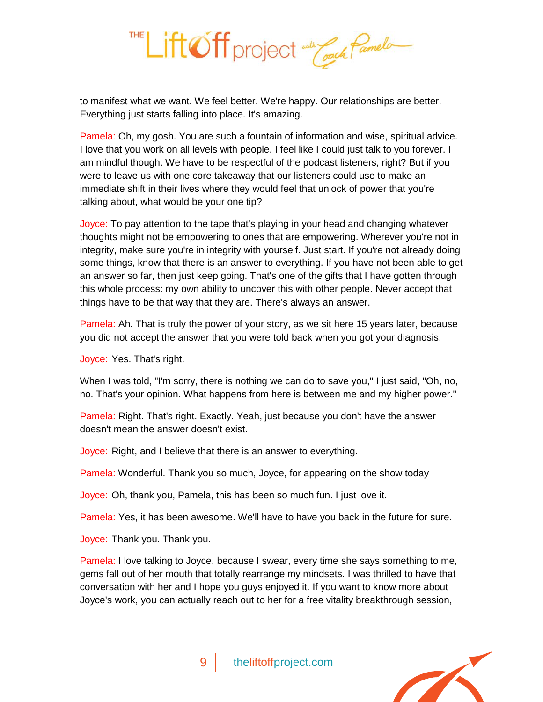

to manifest what we want. We feel better. We're happy. Our relationships are better. Everything just starts falling into place. It's amazing.

Pamela: Oh, my gosh. You are such a fountain of information and wise, spiritual advice. I love that you work on all levels with people. I feel like I could just talk to you forever. I am mindful though. We have to be respectful of the podcast listeners, right? But if you were to leave us with one core takeaway that our listeners could use to make an immediate shift in their lives where they would feel that unlock of power that you're talking about, what would be your one tip?

Joyce: To pay attention to the tape that's playing in your head and changing whatever thoughts might not be empowering to ones that are empowering. Wherever you're not in integrity, make sure you're in integrity with yourself. Just start. If you're not already doing some things, know that there is an answer to everything. If you have not been able to get an answer so far, then just keep going. That's one of the gifts that I have gotten through this whole process: my own ability to uncover this with other people. Never accept that things have to be that way that they are. There's always an answer.

Pamela: Ah. That is truly the power of your story, as we sit here 15 years later, because you did not accept the answer that you were told back when you got your diagnosis.

Joyce: Yes. That's right.

When I was told, "I'm sorry, there is nothing we can do to save you," I just said, "Oh, no, no. That's your opinion. What happens from here is between me and my higher power."

Pamela: Right. That's right. Exactly. Yeah, just because you don't have the answer doesn't mean the answer doesn't exist.

Joyce: Right, and I believe that there is an answer to everything.

Pamela: Wonderful. Thank you so much, Joyce, for appearing on the show today

Joyce: Oh, thank you, Pamela, this has been so much fun. I just love it.

Pamela: Yes, it has been awesome. We'll have to have you back in the future for sure.

Joyce: Thank you. Thank you.

Pamela: I love talking to Joyce, because I swear, every time she says something to me, gems fall out of her mouth that totally rearrange my mindsets. I was thrilled to have that conversation with her and I hope you guys enjoyed it. If you want to know more about Joyce's work, you can actually reach out to her for a free vitality breakthrough session,